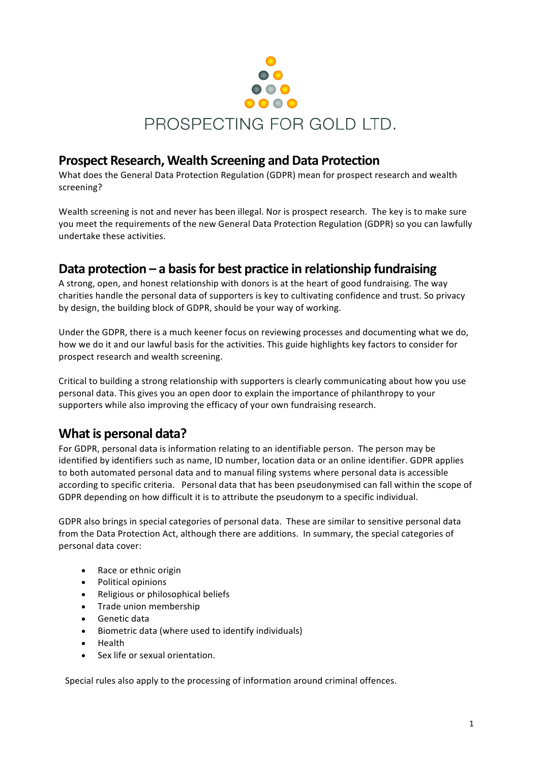

### **Prospect Research, Wealth Screening and Data Protection**

What does the General Data Protection Regulation (GDPR) mean for prospect research and wealth screening? 

Wealth screening is not and never has been illegal. Nor is prospect research. The key is to make sure you meet the requirements of the new General Data Protection Regulation (GDPR) so you can lawfully undertake these activities.

# **Data protection** – a basis for best practice in relationship fundraising

A strong, open, and honest relationship with donors is at the heart of good fundraising. The way charities handle the personal data of supporters is key to cultivating confidence and trust. So privacy by design, the building block of GDPR, should be your way of working.

Under the GDPR, there is a much keener focus on reviewing processes and documenting what we do, how we do it and our lawful basis for the activities. This guide highlights key factors to consider for prospect research and wealth screening.

Critical to building a strong relationship with supporters is clearly communicating about how you use personal data. This gives you an open door to explain the importance of philanthropy to your supporters while also improving the efficacy of your own fundraising research.

# **What is personal data?**

For GDPR, personal data is information relating to an identifiable person. The person may be identified by identifiers such as name, ID number, location data or an online identifier. GDPR applies to both automated personal data and to manual filing systems where personal data is accessible according to specific criteria. Personal data that has been pseudonymised can fall within the scope of GDPR depending on how difficult it is to attribute the pseudonym to a specific individual.

GDPR also brings in special categories of personal data. These are similar to sensitive personal data from the Data Protection Act, although there are additions. In summary, the special categories of personal data cover:

- Race or ethnic origin
- Political opinions
- Religious or philosophical beliefs
- Trade union membership
- Genetic data
- Biometric data (where used to identify individuals)
- Health
- Sex life or sexual orientation.

Special rules also apply to the processing of information around criminal offences.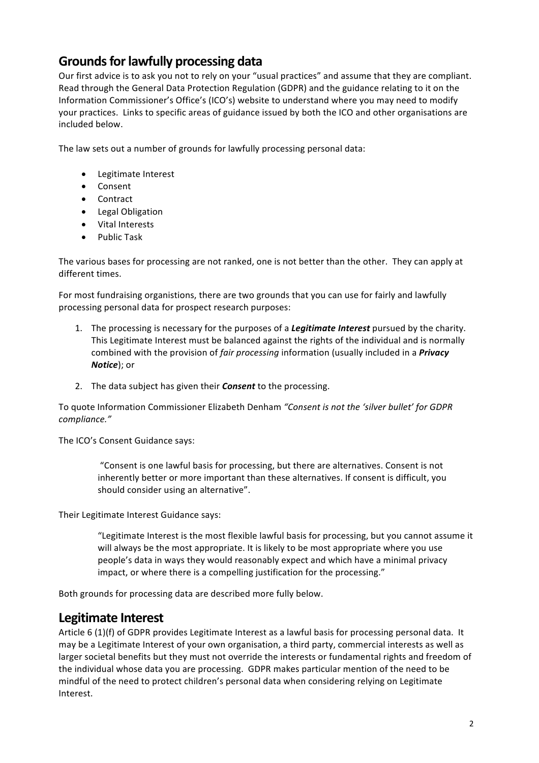## **Grounds for lawfully processing data**

Our first advice is to ask you not to rely on your "usual practices" and assume that they are compliant. Read through the General Data Protection Regulation (GDPR) and the guidance relating to it on the Information Commissioner's Office's (ICO's) website to understand where you may need to modify your practices. Links to specific areas of guidance issued by both the ICO and other organisations are included below.

The law sets out a number of grounds for lawfully processing personal data:

- Legitimate Interest
- Consent
- Contract
- Legal Obligation
- Vital Interests
- Public Task

The various bases for processing are not ranked, one is not better than the other. They can apply at different times.

For most fundraising organistions, there are two grounds that you can use for fairly and lawfully processing personal data for prospect research purposes:

- 1. The processing is necessary for the purposes of a *Legitimate Interest* pursued by the charity. This Legitimate Interest must be balanced against the rights of the individual and is normally combined with the provision of *fair processing* information (usually included in a **Privacy** *Notice*); or
- 2. The data subject has given their **Consent** to the processing.

To quote Information Commissioner Elizabeth Denham "Consent is not the 'silver bullet' for GDPR *compliance."*

The ICO's Consent Guidance says:

"Consent is one lawful basis for processing, but there are alternatives. Consent is not inherently better or more important than these alternatives. If consent is difficult, you should consider using an alternative".

Their Legitimate Interest Guidance says:

"Legitimate Interest is the most flexible lawful basis for processing, but you cannot assume it will always be the most appropriate. It is likely to be most appropriate where you use people's data in ways they would reasonably expect and which have a minimal privacy impact, or where there is a compelling justification for the processing."

Both grounds for processing data are described more fully below.

### Legitimate Interest

Article  $6$  (1)(f) of GDPR provides Legitimate Interest as a lawful basis for processing personal data. It may be a Legitimate Interest of your own organisation, a third party, commercial interests as well as larger societal benefits but they must not override the interests or fundamental rights and freedom of the individual whose data you are processing. GDPR makes particular mention of the need to be mindful of the need to protect children's personal data when considering relying on Legitimate Interest.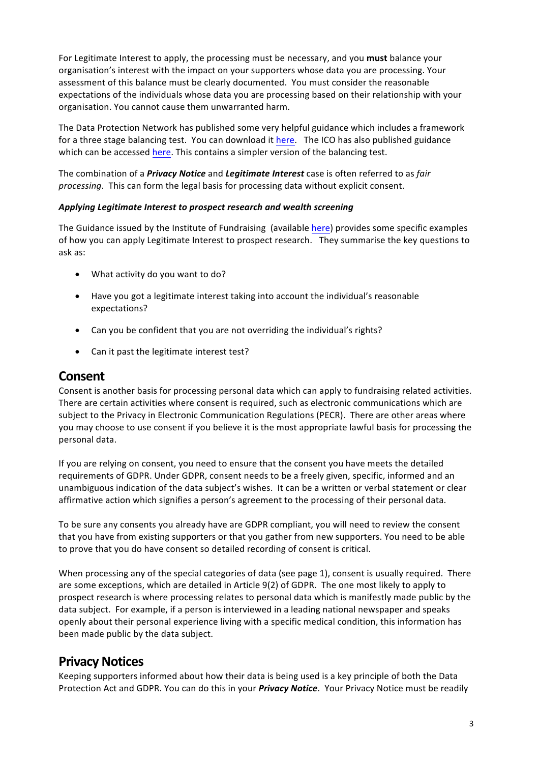For Legitimate Interest to apply, the processing must be necessary, and you **must** balance your organisation's interest with the impact on your supporters whose data you are processing. Your assessment of this balance must be clearly documented. You must consider the reasonable expectations of the individuals whose data you are processing based on their relationship with your organisation. You cannot cause them unwarranted harm.

The Data Protection Network has published some very helpful guidance which includes a framework for a three stage balancing test. You can download it here. The ICO has also published guidance which can be accessed here. This contains a simpler version of the balancing test.

The combination of a *Privacy Notice* and *Legitimate Interest* case is often referred to as *fair processing*. This can form the legal basis for processing data without explicit consent.

#### Applying Legitimate Interest to prospect research and wealth screening

The Guidance issued by the Institute of Fundraising (available here) provides some specific examples of how you can apply Legitimate Interest to prospect research. They summarise the key questions to ask as:

- What activity do you want to do?
- Have you got a legitimate interest taking into account the individual's reasonable expectations?
- Can you be confident that you are not overriding the individual's rights?
- Can it past the legitimate interest test?

### **Consent**

Consent is another basis for processing personal data which can apply to fundraising related activities. There are certain activities where consent is required, such as electronic communications which are subject to the Privacy in Electronic Communication Regulations (PECR). There are other areas where you may choose to use consent if you believe it is the most appropriate lawful basis for processing the personal data.

If you are relying on consent, you need to ensure that the consent you have meets the detailed requirements of GDPR. Under GDPR, consent needs to be a freely given, specific, informed and an unambiguous indication of the data subject's wishes. It can be a written or verbal statement or clear affirmative action which signifies a person's agreement to the processing of their personal data.

To be sure any consents you already have are GDPR compliant, you will need to review the consent that you have from existing supporters or that you gather from new supporters. You need to be able to prove that you do have consent so detailed recording of consent is critical.

When processing any of the special categories of data (see page 1), consent is usually required. There are some exceptions, which are detailed in Article 9(2) of GDPR. The one most likely to apply to prospect research is where processing relates to personal data which is manifestly made public by the data subject. For example, if a person is interviewed in a leading national newspaper and speaks openly about their personal experience living with a specific medical condition, this information has been made public by the data subject.

## **Privacy Notices**

Keeping supporters informed about how their data is being used is a key principle of both the Data Protection Act and GDPR. You can do this in your *Privacy Notice*. Your Privacy Notice must be readily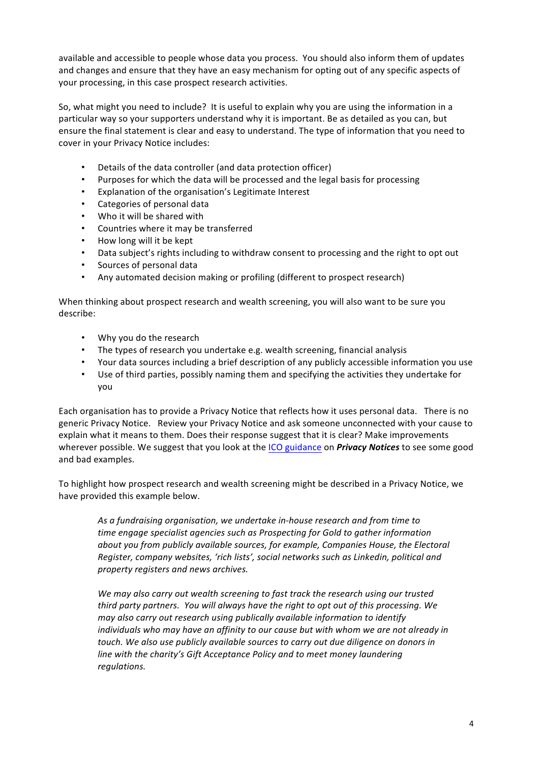available and accessible to people whose data you process. You should also inform them of updates and changes and ensure that they have an easy mechanism for opting out of any specific aspects of your processing, in this case prospect research activities.

So, what might you need to include? It is useful to explain why you are using the information in a particular way so your supporters understand why it is important. Be as detailed as you can, but ensure the final statement is clear and easy to understand. The type of information that you need to cover in your Privacy Notice includes:

- Details of the data controller (and data protection officer)
- Purposes for which the data will be processed and the legal basis for processing
- Explanation of the organisation's Legitimate Interest
- Categories of personal data
- Who it will be shared with
- Countries where it may be transferred
- How long will it be kept
- Data subject's rights including to withdraw consent to processing and the right to opt out
- Sources of personal data
- Any automated decision making or profiling (different to prospect research)

When thinking about prospect research and wealth screening, you will also want to be sure you describe:

- Why you do the research
- The types of research you undertake e.g. wealth screening, financial analysis
- Your data sources including a brief description of any publicly accessible information you use
- Use of third parties, possibly naming them and specifying the activities they undertake for you

Each organisation has to provide a Privacy Notice that reflects how it uses personal data. There is no generic Privacy Notice. Review your Privacy Notice and ask someone unconnected with your cause to explain what it means to them. Does their response suggest that it is clear? Make improvements wherever possible. We suggest that you look at the ICO guidance on *Privacy Notices* to see some good and bad examples.

To highlight how prospect research and wealth screening might be described in a Privacy Notice, we have provided this example below.

As a fundraising organisation, we undertake in-house research and from time to *time* engage specialist agencies such as Prospecting for Gold to gather information about you from publicly available sources, for example, Companies House, the Electoral *Register, company websites, 'rich lists', social networks such as Linkedin, political and property registers and news archives.*

We may also carry out wealth screening to fast track the research using our trusted *third party partners. You will always have the right to opt out of this processing. We may also carry out research using publically available information to identify individuals* who may have an affinity to our cause but with whom we are not already in *touch.* We also use publicly available sources to carry out due diligence on donors in *line* with the charity's Gift Acceptance Policy and to meet money laundering *regulations.*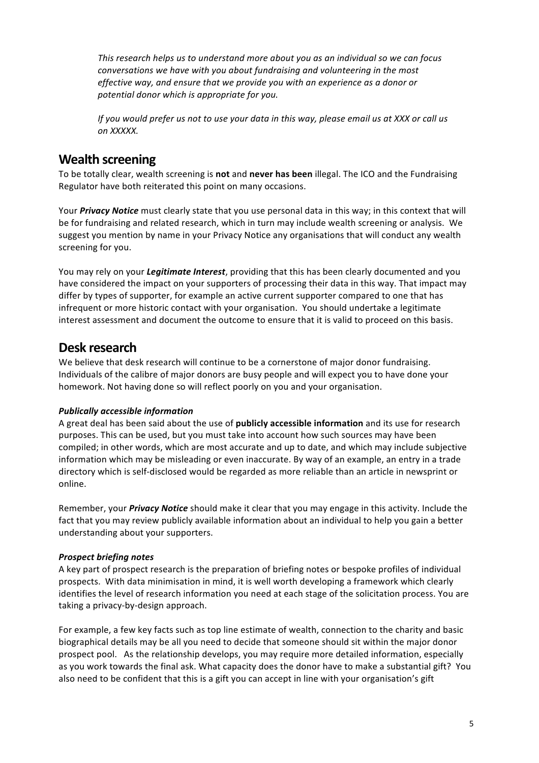*This research helps us to understand more about you as an individual so we can focus conversations* we have with you about fundraising and volunteering in the most *effective* way, and ensure that we provide you with an experience as a donor or potential donor which is appropriate for you.

*If* you would prefer us not to use your data in this way, please email us at XXX or call us *on XXXXX.*

### **Wealth screening**

To be totally clear, wealth screening is not and never has been illegal. The ICO and the Fundraising Regulator have both reiterated this point on many occasions.

Your *Privacy Notice* must clearly state that you use personal data in this way; in this context that will be for fundraising and related research, which in turn may include wealth screening or analysis. We suggest you mention by name in your Privacy Notice any organisations that will conduct any wealth screening for you.

You may rely on your *Legitimate Interest*, providing that this has been clearly documented and you have considered the impact on your supporters of processing their data in this way. That impact may differ by types of supporter, for example an active current supporter compared to one that has infrequent or more historic contact with your organisation. You should undertake a legitimate interest assessment and document the outcome to ensure that it is valid to proceed on this basis.

### **Desk research**

We believe that desk research will continue to be a cornerstone of major donor fundraising. Individuals of the calibre of major donors are busy people and will expect you to have done your homework. Not having done so will reflect poorly on you and your organisation.

### *Publically accessible information*

A great deal has been said about the use of **publicly accessible information** and its use for research purposes. This can be used, but you must take into account how such sources may have been compiled; in other words, which are most accurate and up to date, and which may include subjective information which may be misleading or even inaccurate. By way of an example, an entry in a trade directory which is self-disclosed would be regarded as more reliable than an article in newsprint or online.

Remember, your *Privacy Notice* should make it clear that you may engage in this activity. Include the fact that you may review publicly available information about an individual to help you gain a better understanding about your supporters.

### *Prospect briefing notes*

A key part of prospect research is the preparation of briefing notes or bespoke profiles of individual prospects. With data minimisation in mind, it is well worth developing a framework which clearly identifies the level of research information you need at each stage of the solicitation process. You are taking a privacy-by-design approach.

For example, a few key facts such as top line estimate of wealth, connection to the charity and basic biographical details may be all you need to decide that someone should sit within the major donor prospect pool. As the relationship develops, you may require more detailed information, especially as you work towards the final ask. What capacity does the donor have to make a substantial gift? You also need to be confident that this is a gift you can accept in line with your organisation's gift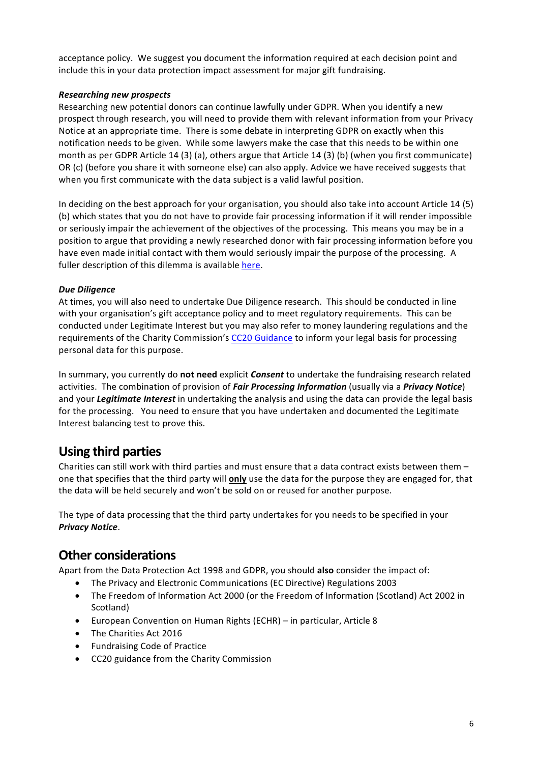acceptance policy. We suggest you document the information required at each decision point and include this in your data protection impact assessment for major gift fundraising.

#### *Researching new prospects*

Researching new potential donors can continue lawfully under GDPR. When you identify a new prospect through research, you will need to provide them with relevant information from your Privacy Notice at an appropriate time. There is some debate in interpreting GDPR on exactly when this notification needs to be given. While some lawyers make the case that this needs to be within one month as per GDPR Article 14 (3) (a), others argue that Article 14 (3) (b) (when you first communicate) OR (c) (before you share it with someone else) can also apply. Advice we have received suggests that when you first communicate with the data subject is a valid lawful position.

In deciding on the best approach for your organisation, you should also take into account Article 14 (5) (b) which states that you do not have to provide fair processing information if it will render impossible or seriously impair the achievement of the objectives of the processing. This means you may be in a position to argue that providing a newly researched donor with fair processing information before you have even made initial contact with them would seriously impair the purpose of the processing. A fuller description of this dilemma is available here.

#### *Due Diligence*

At times, you will also need to undertake Due Diligence research. This should be conducted in line with your organisation's gift acceptance policy and to meet regulatory requirements. This can be conducted under Legitimate Interest but you may also refer to money laundering regulations and the requirements of the Charity Commission's CC20 Guidance to inform your legal basis for processing personal data for this purpose.

In summary, you currently do not need explicit *Consent* to undertake the fundraising research related activities. The combination of provision of *Fair Processing Information* (usually via a *Privacy Notice*) and your *Legitimate Interest* in undertaking the analysis and using the data can provide the legal basis for the processing. You need to ensure that you have undertaken and documented the Legitimate Interest balancing test to prove this.

# **Using third parties**

Charities can still work with third parties and must ensure that a data contract exists between them  $$ one that specifies that the third party will **only** use the data for the purpose they are engaged for, that the data will be held securely and won't be sold on or reused for another purpose.

The type of data processing that the third party undertakes for you needs to be specified in your *Privacy Notice*. 

### **Other considerations**

Apart from the Data Protection Act 1998 and GDPR, you should also consider the impact of:

- The Privacy and Electronic Communications (EC Directive) Regulations 2003
- The Freedom of Information Act 2000 (or the Freedom of Information (Scotland) Act 2002 in Scotland)
- European Convention on Human Rights (ECHR) in particular, Article 8
- The Charities Act 2016
- Fundraising Code of Practice
- CC20 guidance from the Charity Commission